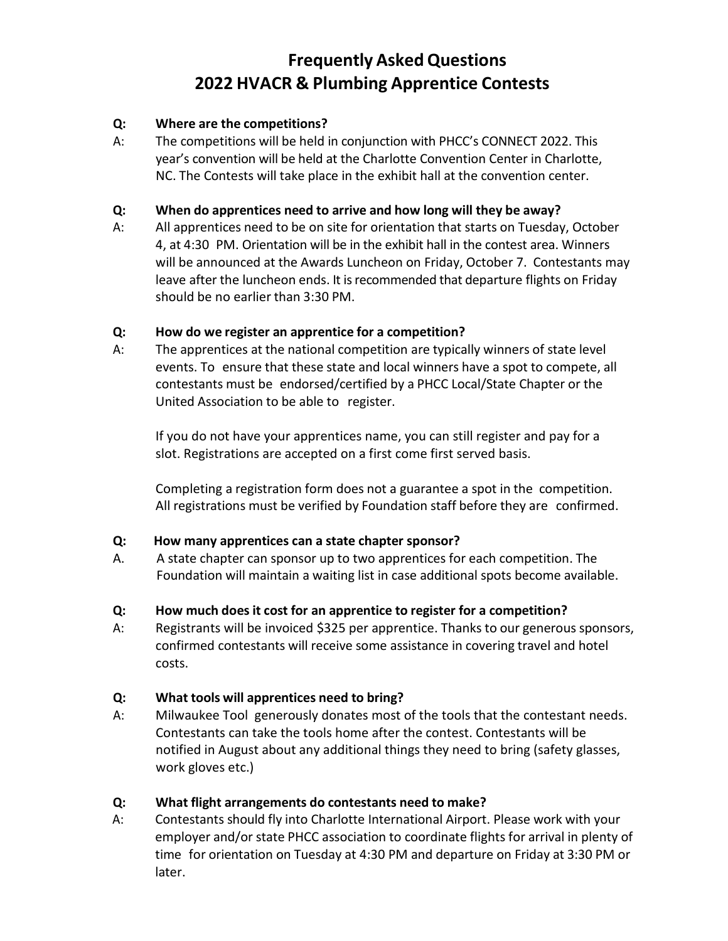# **Frequently AskedQuestions 2022 HVACR & Plumbing Apprentice Contests**

## **Q: Where are the competitions?**

A: The competitions will be held in conjunction with PHCC's CONNECT 2022. This year's convention will be held at the Charlotte Convention Center in Charlotte, NC. The Contests will take place in the exhibit hall at the convention center.

#### **Q: When do apprentices need to arrive and how long will they be away?**

A: All apprentices need to be on site for orientation that starts on Tuesday, October 4, at 4:30 PM. Orientation will be in the exhibit hall in the contest area. Winners will be announced at the Awards Luncheon on Friday, October 7. Contestants may leave after the luncheon ends. It is recommended that departure flights on Friday should be no earlier than 3:30 PM.

## **Q: How do we register an apprentice for a competition?**

A: The apprentices at the national competition are typically winners of state level events. To ensure that these state and local winners have a spot to compete, all contestants must be endorsed/certified by a PHCC Local/State Chapter or the United Association to be able to register.

If you do not have your apprentices name, you can still register and pay for a slot. Registrations are accepted on a first come first served basis.

Completing a registration form does not a guarantee a spot in the competition. All registrations must be verified by Foundation staff before they are confirmed.

#### **Q: How many apprentices can a state chapter sponsor?**

A. A state chapter can sponsor up to two apprentices for each competition. The Foundation will maintain a waiting list in case additional spots become available.

# **Q: How much does it cost for an apprentice to register for a competition?**

A: Registrants will be invoiced \$325 per apprentice. Thanks to our generous sponsors, confirmed contestants will receive some assistance in covering travel and hotel costs.

# **Q: What tools will apprentices need to bring?**

A: Milwaukee Tool generously donates most of the tools that the contestant needs. Contestants can take the tools home after the contest. Contestants will be notified in August about any additional things they need to bring (safety glasses, work gloves etc.)

# **Q: What flight arrangements do contestants need to make?**

A: Contestants should fly into Charlotte International Airport. Please work with your employer and/or state PHCC association to coordinate flights for arrival in plenty of time for orientation on Tuesday at 4:30 PM and departure on Friday at 3:30 PM or later.